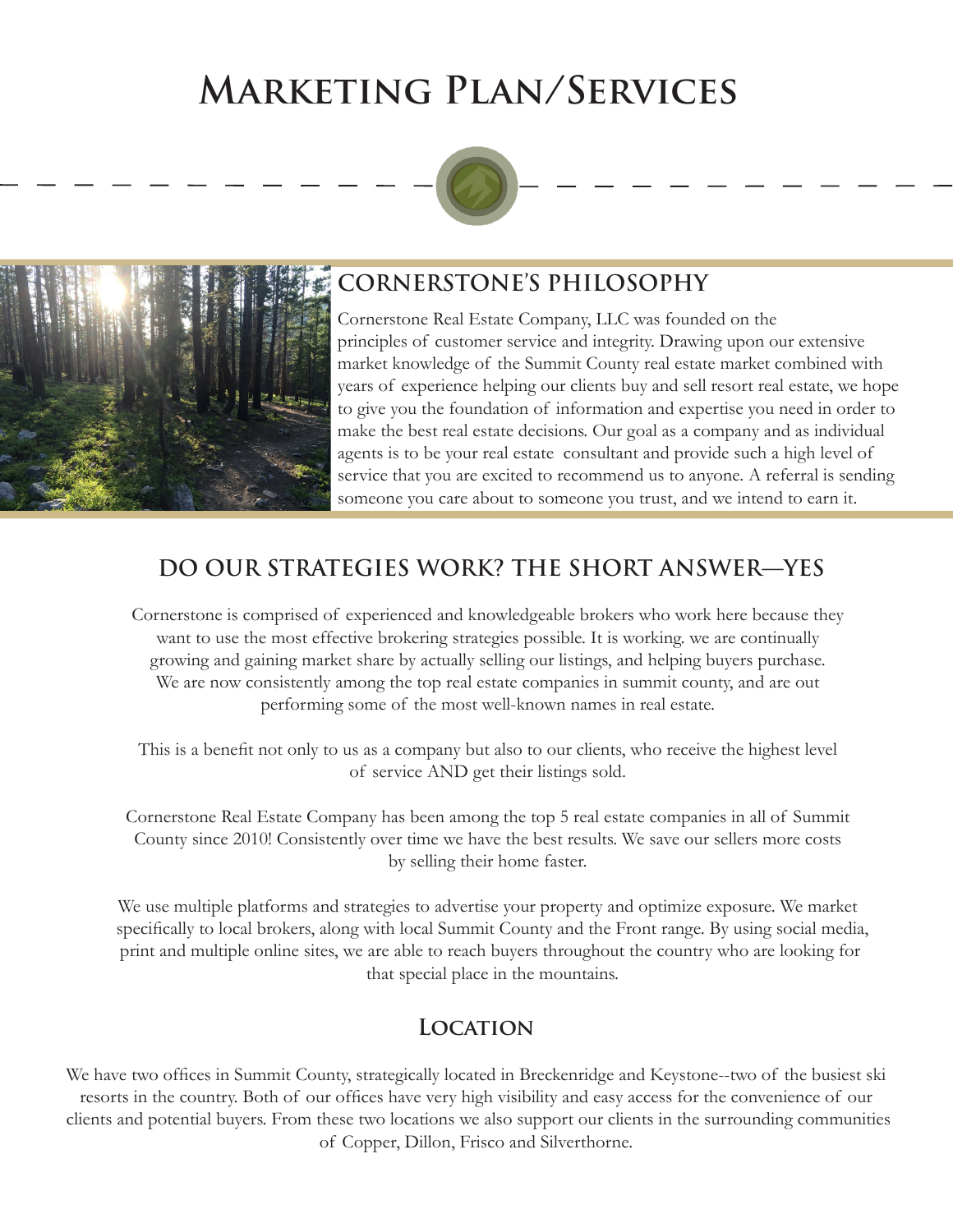# **Marketing Plan/Services**





## **CORNERSTONE'S PHILOSOPHY**

Cornerstone Real Estate Company, LLC was founded on the principles of customer service and integrity. Drawing upon our extensive market knowledge of the Summit County real estate market combined with years of experience helping our clients buy and sell resort real estate, we hope to give you the foundation of information and expertise you need in order to make the best real estate decisions. Our goal as a company and as individual agents is to be your real estate consultant and provide such a high level of service that you are excited to recommend us to anyone. A referral is sending someone you care about to someone you trust, and we intend to earn it.

## **DO OUR STRATEGIES WORK? THE SHORT ANSWER—YES**

 Cornerstone is comprised of experienced and knowledgeable brokers who work here because they want to use the most effective brokering strategies possible. It is working. we are continually growing and gaining market share by actually selling our listings, and helping buyers purchase. We are now consistently among the top real estate companies in summit county, and are out performing some of the most well-known names in real estate.

 This is a benefit not only to us as a company but also to our clients, who receive the highest level of service AND get their listings sold.

 Cornerstone Real Estate Company has been among the top 5 real estate companies in all of Summit County since 2010! Consistently over time we have the best results. We save our sellers more costs by selling their home faster.

 We use multiple platforms and strategies to advertise your property and optimize exposure. We market specifically to local brokers, along with local Summit County and the Front range. By using social media, print and multiple online sites, we are able to reach buyers throughout the country who are looking for that special place in the mountains.

#### **Location**

We have two offices in Summit County, strategically located in Breckenridge and Keystone--two of the busiest ski resorts in the country. Both of our offices have very high visibility and easy access for the convenience of our clients and potential buyers. From these two locations we also support our clients in the surrounding communities of Copper, Dillon, Frisco and Silverthorne.